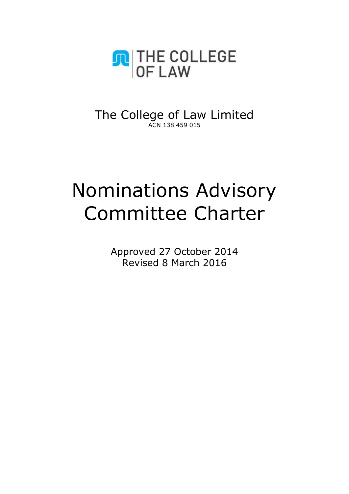

The College of Law Limited ACN 138 459 015

# Nominations Advisory Committee Charter

Approved 27 October 2014 Revised 8 March 2016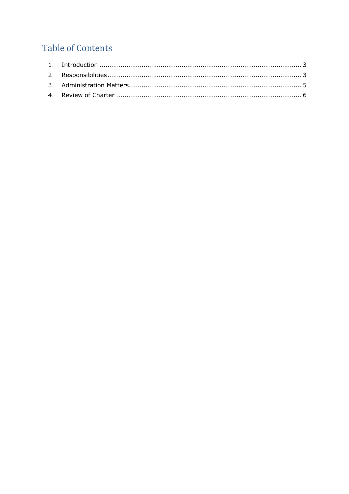# **Table of Contents**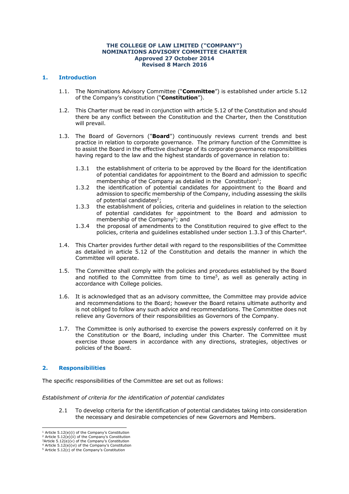#### **THE COLLEGE OF LAW LIMITED ("COMPANY") NOMINATIONS ADVISORY COMMITTEE CHARTER Approved 27 October 2014 Revised 8 March 2016**

# <span id="page-2-0"></span>**1. Introduction**

- 1.1. The Nominations Advisory Committee ("**Committee**") is established under article 5.12 of the Company's constitution ("**Constitution**").
- 1.2. This Charter must be read in conjunction with article 5.12 of the Constitution and should there be any conflict between the Constitution and the Charter, then the Constitution will prevail.
- 1.3. The Board of Governors ("**Board**") continuously reviews current trends and best practice in relation to corporate governance. The primary function of the Committee is to assist the Board in the effective discharge of its corporate governance responsibilities having regard to the law and the highest standards of governance in relation to:
	- 1.3.1 the establishment of criteria to be approved by the Board for the identification of potential candidates for appointment to the Board and admission to specific membership of the Company as detailed in the Constitution<sup>1</sup>;
	- 1.3.2 the identification of potential candidates for appointment to the Board and admission to specific membership of the Company, including assessing the skills of potential candidates<sup>2</sup>;
	- 1.3.3 the establishment of policies, criteria and guidelines in relation to the selection of potential candidates for appointment to the Board and admission to membership of the Company<sup>3</sup>; and
	- 1.3.4 the proposal of amendments to the Constitution required to give effect to the policies, criteria and guidelines established under section 1.3.3 of this Charter<sup>4</sup>.
- 1.4. This Charter provides further detail with regard to the responsibilities of the Committee as detailed in article 5.12 of the Constitution and details the manner in which the Committee will operate.
- 1.5. The Committee shall comply with the policies and procedures established by the Board and notified to the Committee from time to time<sup>5</sup>, as well as generally acting in accordance with College policies.
- 1.6. It is acknowledged that as an advisory committee, the Committee may provide advice and recommendations to the Board; however the Board retains ultimate authority and is not obliged to follow any such advice and recommendations. The Committee does not relieve any Governors of their responsibilities as Governors of the Company.
- 1.7. The Committee is only authorised to exercise the powers expressly conferred on it by the Constitution or the Board, including under this Charter. The Committee must exercise those powers in accordance with any directions, strategies, objectives or policies of the Board.

# <span id="page-2-1"></span>**2. Responsibilities**

The specific responsibilities of the Committee are set out as follows:

## *Establishment of criteria for the identification of potential candidates*

2.1 To develop criteria for the identification of potential candidates taking into consideration the necessary and desirable competencies of new Governors and Members.

 <sup>1</sup> Article 5.12(e)(i) of the Company's Constitution

<sup>&</sup>lt;sup>2</sup> Article 5.12(e)(ii) of the Company's Constitution  $3$ Article  $5.12(e)(v)$  of the Company's Constitution

 $4$  Article  $5.12(e)(vi)$  of the Company's Constitution

<sup>5</sup> Article 5.12(c) of the Company's Constitution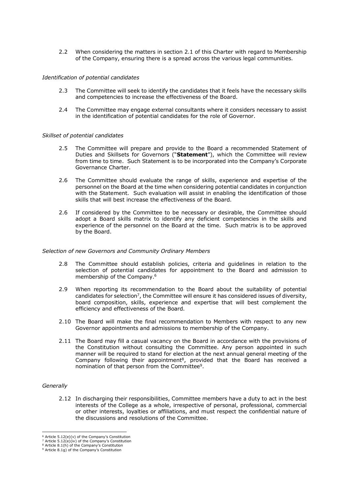2.2 When considering the matters in section 2.1 of this Charter with regard to Membership of the Company, ensuring there is a spread across the various legal communities.

#### *Identification of potential candidates*

- 2.3 The Committee will seek to identify the candidates that it feels have the necessary skills and competencies to increase the effectiveness of the Board.
- 2.4 The Committee may engage external consultants where it considers necessary to assist in the identification of potential candidates for the role of Governor.

#### *Skillset of potential candidates*

- 2.5 The Committee will prepare and provide to the Board a recommended Statement of Duties and Skillsets for Governors ("**Statement**"), which the Committee will review from time to time. Such Statement is to be incorporated into the Company's Corporate Governance Charter.
- 2.6 The Committee should evaluate the range of skills, experience and expertise of the personnel on the Board at the time when considering potential candidates in conjunction with the Statement. Such evaluation will assist in enabling the identification of those skills that will best increase the effectiveness of the Board.
- 2.6 If considered by the Committee to be necessary or desirable, the Committee should adopt a Board skills matrix to identify any deficient competencies in the skills and experience of the personnel on the Board at the time. Such matrix is to be approved by the Board.

#### *Selection of new Governors and Community Ordinary Members*

- 2.8 The Committee should establish policies, criteria and guidelines in relation to the selection of potential candidates for appointment to the Board and admission to membership of the Company.<sup>6</sup>
- 2.9 When reporting its recommendation to the Board about the suitability of potential candidates for selection<sup>7</sup>, the Committee will ensure it has considered issues of diversity, board composition, skills, experience and expertise that will best complement the efficiency and effectiveness of the Board.
- 2.10 The Board will make the final recommendation to Members with respect to any new Governor appointments and admissions to membership of the Company.
- 2.11 The Board may fill a casual vacancy on the Board in accordance with the provisions of the Constitution without consulting the Committee. Any person appointed in such manner will be required to stand for election at the next annual general meeting of the Company following their appointment<sup>8</sup>, provided that the Board has received a nomination of that person from the Committee<sup>9</sup>.

#### *Generally*

2.12 In discharging their responsibilities, Committee members have a duty to act in the best interests of the College as a whole, irrespective of personal, professional, commercial or other interests, loyalties or affiliations, and must respect the confidential nature of the discussions and resolutions of the Committee.

 <sup>6</sup> Article 5.12(e)(v) of the Company's Constitution

<sup>7</sup> Article 5.12(e)(iv) of the Company's Constitution

<sup>8</sup> Article 8.1(h) of the Company's Constitution <sup>9</sup> Article 8.1g) of the Company's Constitution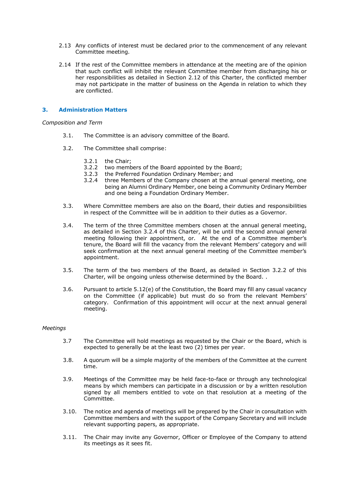- 2.13 Any conflicts of interest must be declared prior to the commencement of any relevant Committee meeting.
- 2.14 If the rest of the Committee members in attendance at the meeting are of the opinion that such conflict will inhibit the relevant Committee member from discharging his or her responsibilities as detailed in Section 2.12 of this Charter, the conflicted member may not participate in the matter of business on the Agenda in relation to which they are conflicted.

# <span id="page-4-0"></span>**3. Administration Matters**

*Composition and Term*

- 3.1. The Committee is an advisory committee of the Board.
- 3.2. The Committee shall comprise:
	- 3.2.1 the Chair;
	- 3.2.2 two members of the Board appointed by the Board;
	- 3.2.3 the Preferred Foundation Ordinary Member; and
	- 3.2.4 three Members of the Company chosen at the annual general meeting, one being an Alumni Ordinary Member, one being a Community Ordinary Member and one being a Foundation Ordinary Member.
- 3.3. Where Committee members are also on the Board, their duties and responsibilities in respect of the Committee will be in addition to their duties as a Governor.
- 3.4. The term of the three Committee members chosen at the annual general meeting, as detailed in Section 3.2.4 of this Charter, will be until the second annual general meeting following their appointment, or. At the end of a Committee member's tenure, the Board will fill the vacancy from the relevant Members' category and will seek confirmation at the next annual general meeting of the Committee member's appointment.
- 3.5. The term of the two members of the Board, as detailed in Section 3.2.2 of this Charter, will be ongoing unless otherwise determined by the Board. .
- 3.6. Pursuant to article 5.12(e) of the Constitution, the Board may fill any casual vacancy on the Committee (if applicable) but must do so from the relevant Members' category. Confirmation of this appointment will occur at the next annual general meeting.

#### *Meetings*

- 3.7 The Committee will hold meetings as requested by the Chair or the Board, which is expected to generally be at the least two (2) times per year.
- 3.8. A quorum will be a simple majority of the members of the Committee at the current time.
- 3.9. Meetings of the Committee may be held face-to-face or through any technological means by which members can participate in a discussion or by a written resolution signed by all members entitled to vote on that resolution at a meeting of the Committee.
- 3.10. The notice and agenda of meetings will be prepared by the Chair in consultation with Committee members and with the support of the Company Secretary and will include relevant supporting papers, as appropriate.
- 3.11. The Chair may invite any Governor, Officer or Employee of the Company to attend its meetings as it sees fit.